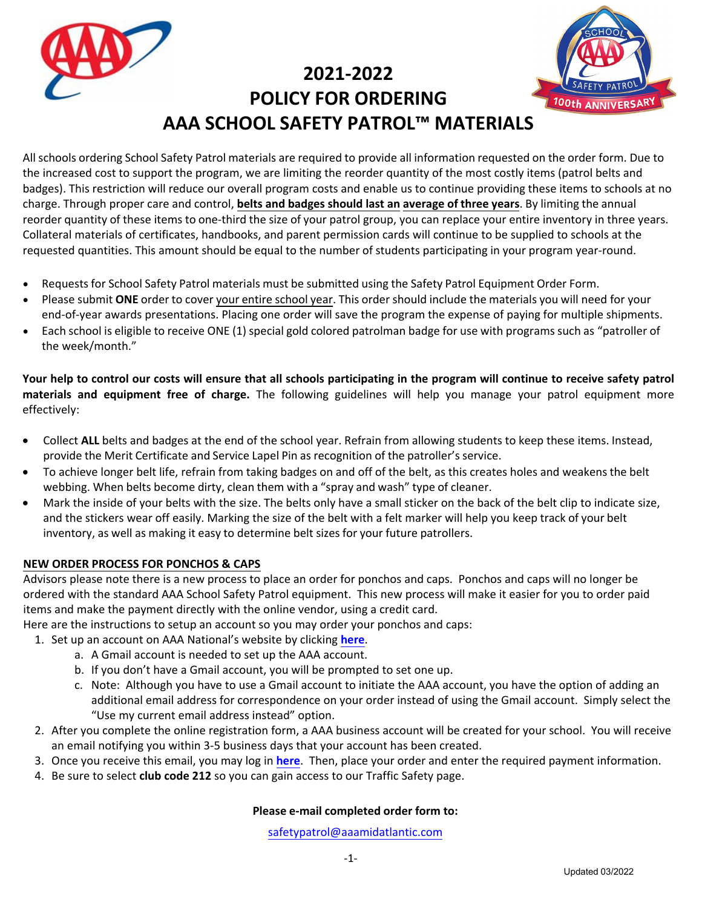**2021-2022 POLICY FOR ORDERING AAA SCHOOL SAFETY PATROL™ MATERIALS** 



All schools ordering School Safety Patrol materials are required to provide all information requested on the order form. Due to the increased cost to support the program, we are limiting the reorder quantity of the most costly items (patrol belts and badges). This restriction will reduce our overall program costs and enable us to continue providing these items to schools at no charge. Through proper care and control, **belts and badges should last an average of three years**. By limiting the annual reorder quantity of these items to one-third the size of your patrol group, you can replace your entire inventory in three years. Collateral materials of certificates, handbooks, and parent permission cards will continue to be supplied to schools at the requested quantities. This amount should be equal to the number of students participating in your program year-round.

- Requests for School Safety Patrol materials must be submitted using the Safety Patrol Equipment Order Form.
- Please submit **ONE** order to cover your entire school year. This order should include the materials you will need for your end-of-year awards presentations. Placing one order will save the program the expense of paying for multiple shipments.
- Each school is eligible to receive ONE (1) special gold colored patrolman badge for use with programs such as "patroller of the week/month."

**Your help to control our costs will ensure that all schools participating in the program will continue to receive safety patrol materials and equipment free of charge.** The following guidelines will help you manage your patrol equipment more effectively:

- Collect **ALL** belts and badges at the end of the school year. Refrain from allowing students to keep these items. Instead, provide the Merit Certificate and Service Lapel Pin as recognition of the patroller's service.
- To achieve longer belt life, refrain from taking badges on and off of the belt, as this creates holes and weakens the belt webbing. When belts become dirty, clean them with a "spray and wash" type of cleaner.
- Mark the inside of your belts with the size. The belts only have a small sticker on the back of the belt clip to indicate size, and the stickers wear [off easily. Marking the size of t](mailto:randress@aaamidatlantic.com)he belt with a felt marker will help you keep track of your belt inventory, as well as making it easy to determine belt sizes for your future patrollers.

## **NEW ORDER PROCESS FOR PONCHOS & CAPS**

Advisors please note there is a new process to place an order for ponchos and caps. Ponchos and caps will no longer be ordered with the standard AAA School Safety Patrol equipment. This new process will make it easier for you to order paid items and make the payment directly with the online vendor, using a credit card.

Here are the instructions to setup an account so you may order your ponchos and caps:

- 1. Set up an account on AAA National's website by clicking **[here](https://docs.google.com/forms/d/e/1FAIpQLSdgfTfZIV2yzuHBd1WfL3qQOXaTPwiYy6O0j4SkXXQqeLJ7gw/viewform)**.
	- a. A Gmail account is needed to set up the AAA account.
	- b. If you don't have a Gmail account, you will be prompted to set one up.
	- c. Note: Although you have to use a Gmail account to initiate the AAA account, you have the option of adding an additional email address for correspondence on your order instead of using the Gmail account. Simply select the "Use my current email address instead" option.
- 2. After you complete the online registration form, a AAA business account will be created for your school. You will receive an email notifying you within 3-5 business days that your account has been created.
- 3. Once you receive this email, you may log in **[here](https://drivertraining.aaa.biz/account/login)**. Then, place your order and enter the required payment information.
- 4. Be sure to select **club code 212** so you can gain access to our Traffic Safety page.

## **Please e-mail [completed](mailto:safetypatrol@aaamidatlantic.com) order form to:**

safetypatrol@aaamidatlantic.com